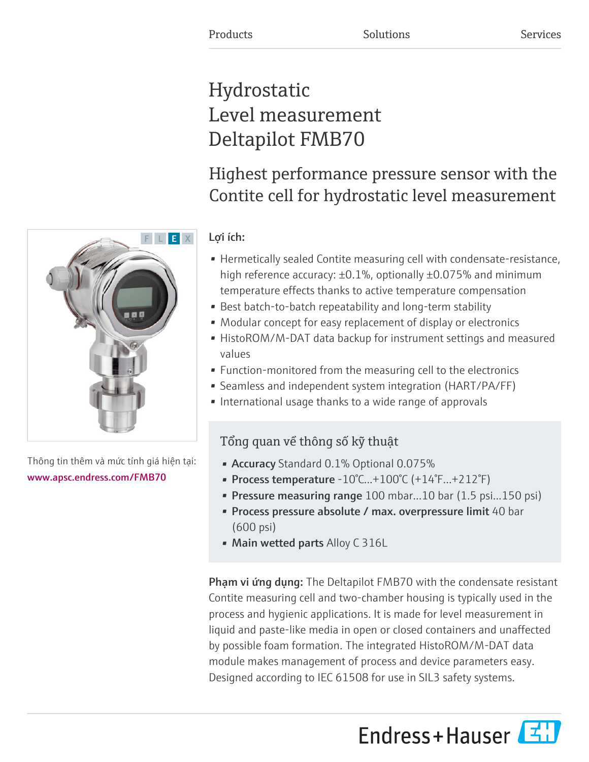# Hydrostatic Level measurement Deltapilot FMB70

# Highest performance pressure sensor with the Contite cell for hydrostatic level measurement

### Lợi ích:

- Hermetically sealed Contite measuring cell with condensate-resistance, high reference accuracy: ±0.1%, optionally ±0.075% and minimum temperature effects thanks to active temperature compensation
- Best batch-to-batch repeatability and long-term stability
- Modular concept for easy replacement of display or electronics
- HistoROM/M-DAT data backup for instrument settings and measured values
- Function-monitored from the measuring cell to the electronics
- Seamless and independent system integration (HART/PA/FF)
- International usage thanks to a wide range of approvals

## Tổng quan về thông số kỹ thuật

- Accuracy Standard 0.1% Optional 0.075%
- Process temperature  $-10^{\circ}$ C... $+100^{\circ}$ C ( $+14^{\circ}$ F... $+212^{\circ}$ F)
- Pressure measuring range 100 mbar...10 bar (1.5 psi...150 psi)
- Process pressure absolute / max. overpressure limit 40 bar (600 psi)
- Main wetted parts Alloy C 316L

Phạm vi ứng dụng: The Deltapilot FMB70 with the condensate resistant Contite measuring cell and two-chamber housing is typically used in the process and hygienic applications. It is made for level measurement in liquid and paste-like media in open or closed containers and unaffected by possible foam formation. The integrated HistoROM/M-DAT data module makes management of process and device parameters easy. Designed according to IEC 61508 for use in SIL3 safety systems.





Thông tin thêm và mức tính giá hiện tại: [www.apsc.endress.com/FMB70](https://www.apsc.endress.com/FMB70)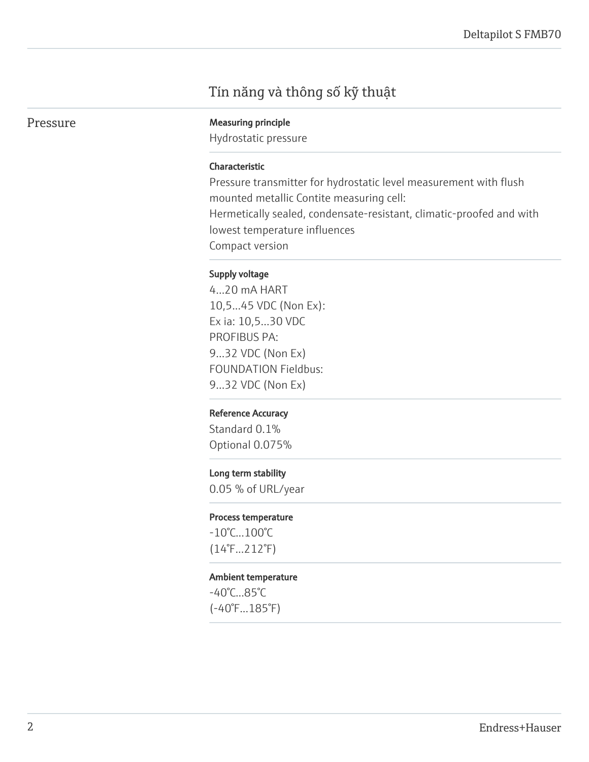### Tín năng và thông số kỹ thuật

Pressure Measuring principle

Hydrostatic pressure

#### Characteristic

Pressure transmitter for hydrostatic level measurement with flush mounted metallic Contite measuring cell: Hermetically sealed, condensate-resistant, climatic-proofed and with lowest temperature influences Compact version

#### Supply voltage

4...20 mA HART 10,5...45 VDC (Non Ex): Ex ia: 10,5...30 VDC PROFIBUS PA: 9...32 VDC (Non Ex) FOUNDATION Fieldbus: 9...32 VDC (Non Ex)

#### Reference Accuracy

Standard 0.1% Optional 0.075%

#### Long term stability

0.05 % of URL/year

#### Process temperature

-10°C...100°C (14°F...212°F)

#### Ambient temperature

-40°C...85°C (-40°F...185°F)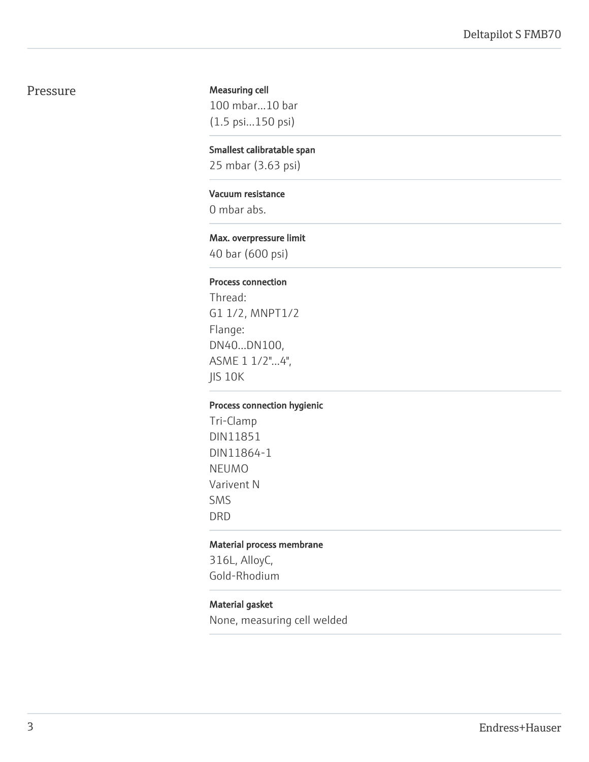#### Pressure

#### Measuring cell

100 mbar...10 bar (1.5 psi...150 psi)

#### Smallest calibratable span

25 mbar (3.63 psi)

#### Vacuum resistance

0 mbar abs.

#### Max. overpressure limit

40 bar (600 psi)

#### Process connection

Thread: G1 1/2, MNPT1/2 Flange: DN40...DN100, ASME 1 1/2"...4", JIS 10K

#### Process connection hygienic

Tri-Clamp DIN11851 DIN11864-1 NEUMO Varivent N SMS DRD

#### Material process membrane

316L, AlloyC, Gold-Rhodium

#### Material gasket

None, measuring cell welded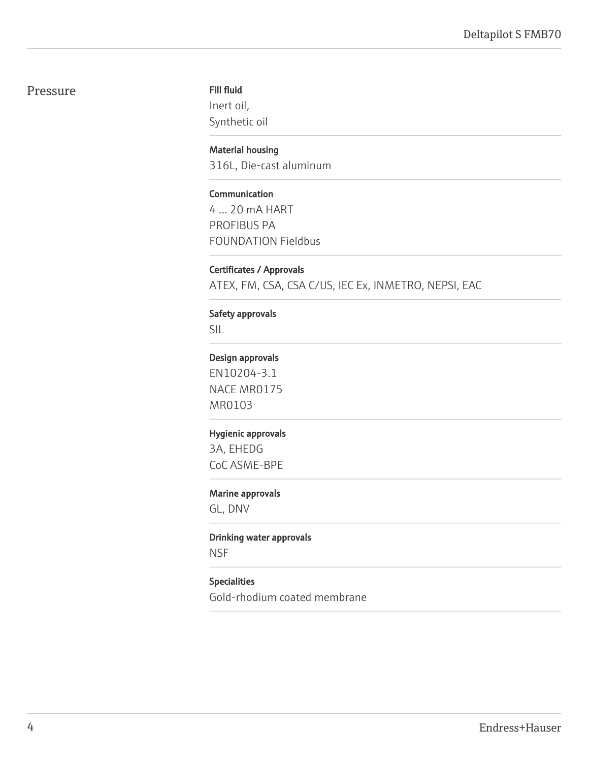#### Pressure

#### Fill fluid

Inert oil, Synthetic oil

#### Material housing

316L, Die-cast aluminum

#### Communication

4 ... 20 mA HART PROFIBUS PA FOUNDATION Fieldbus

#### Certificates / Approvals

ATEX, FM, CSA, CSA C/US, IEC Ex, INMETRO, NEPSI, EAC

#### Safety approvals

SIL

#### Design approvals

EN10204-3.1 NACE MR0175 MR0103

#### Hygienic approvals

3A, EHEDG CoC ASME-BPE

#### Marine approvals

GL, DNV

#### Drinking water approvals

NSF

#### Specialities

Gold-rhodium coated membrane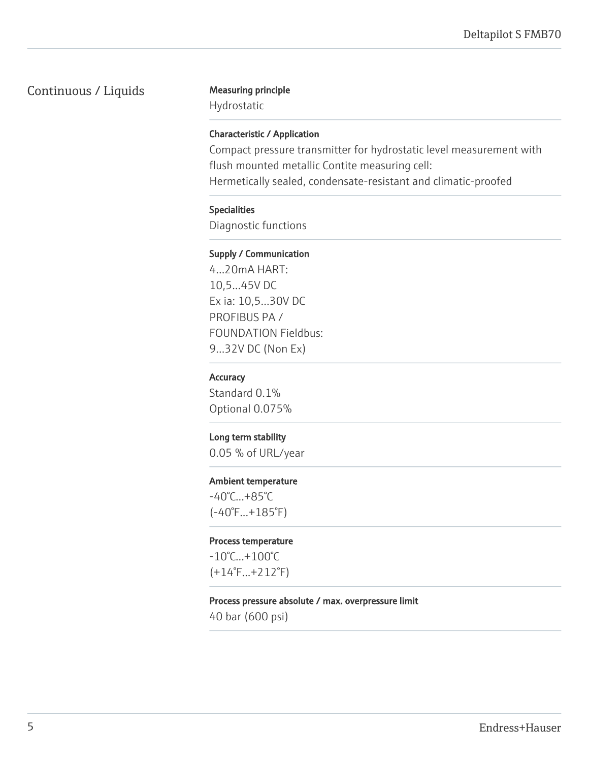### Continuous / Liquids Measuring principle

Hydrostatic

#### Characteristic / Application

Compact pressure transmitter for hydrostatic level measurement with flush mounted metallic Contite measuring cell: Hermetically sealed, condensate-resistant and climatic-proofed

#### Specialities

Diagnostic functions

#### Supply / Communication

4...20mA HART: 10,5...45V DC Ex ia: 10,5...30V DC PROFIBUS PA / FOUNDATION Fieldbus: 9...32V DC (Non Ex)

#### **Accuracy**

Standard 0.1% Optional 0.075%

#### Long term stability

0.05 % of URL/year

#### Ambient temperature

-40°C...+85°C (-40°F...+185°F)

#### Process temperature

-10°C...+100°C (+14°F...+212°F)

#### Process pressure absolute / max. overpressure limit

40 bar (600 psi)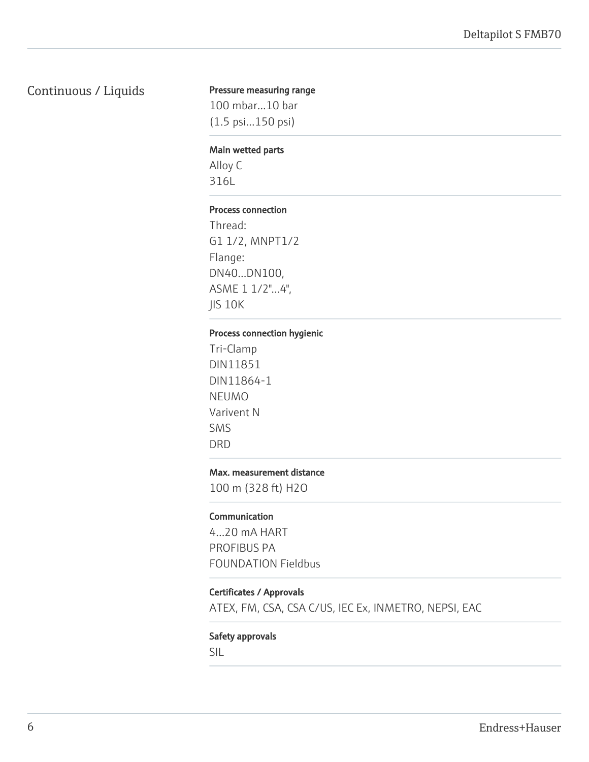### Continuous / Liquids

#### Pressure measuring range

100 mbar...10 bar (1.5 psi...150 psi)

#### Main wetted parts

Alloy C 316L

#### Process connection

Thread: G1 1/2, MNPT1/2 Flange: DN40...DN100, ASME 1 1/2"...4", JIS 10K

#### Process connection hygienic

Tri-Clamp DIN11851 DIN11864-1 NEUMO Varivent N SMS DRD

#### Max. measurement distance

100 m (328 ft) H2O

#### **Communication**

4...20 mA HART PROFIBUS PA FOUNDATION Fieldbus

#### Certificates / Approvals

ATEX, FM, CSA, CSA C/US, IEC Ex, INMETRO, NEPSI, EAC

#### Safety approvals

SIL